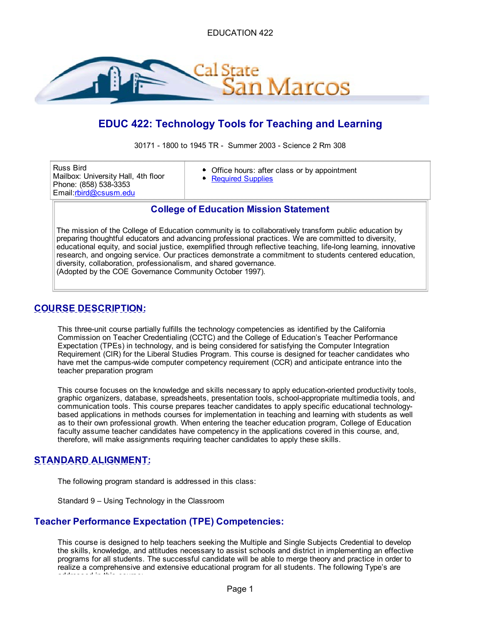

# **EDUC 422: Technology Tools for Teaching and Learning**

30171 - 1800 to 1945 TR - Summer 2003 - Science 2 Rm 308

Russ Bird Mailbox: University Hall, 4th floor Phone: (858) 538-3353 Email:rbird@csusm.edu

- Office hours: after class or by appointment
- Required Supplies

## **College of Education Mission Statement**

The mission of the College of Education community is to collaboratively transform public education by preparing thoughtful educators and advancing professional practices. We are committed to diversity, educational equity, and social justice, exemplified through reflective teaching, life-long learning, innovative research, and ongoing service. Our practices demonstrate a commitment to students centered education, diversity, collaboration, professionalism, and shared governance. (Adopted by the COE Governance Community October 1997).

## **COURSE DESCRIPTION:**

This three-unit course partially fulfills the technology competencies as identified by the California Commission on Teacher Credentialing (CCTC) and the College of Education's Teacher Performance Expectation (TPEs) in technology, and is being considered for satisfying the Computer Integration Requirement (CIR) for the Liberal Studies Program. This course is designed for teacher candidates who have met the campus-wide computer competency requirement (CCR) and anticipate entrance into the teacher preparation program

This course focuses on the knowledge and skills necessary to apply education-oriented productivity tools, graphic organizers, database, spreadsheets, presentation tools, school-appropriate multimedia tools, and communication tools. This course prepares teacher candidates to apply specific educational technologybased applications in methods courses for implementation in teaching and learning with students as well as to their own professional growth. When entering the teacher education program, College of Education faculty assume teacher candidates have competency in the applications covered in this course, and, therefore, will make assignments requiring teacher candidates to apply these skills.

## **STANDARD ALIGNMENT:**

The following program standard is addressed in this class:

Standard 9 – Using Technology in the Classroom

## **Teacher Performance Expectation (TPE) Competencies:**

This course is designed to help teachers seeking the Multiple and Single Subjects Credential to develop the skills, knowledge, and attitudes necessary to assist schools and district in implementing an effective programs for all students. The successful candidate will be able to merge theory and practice in order to realize a comprehensive and extensive educational program for all students. The following Type's are addressed in this course: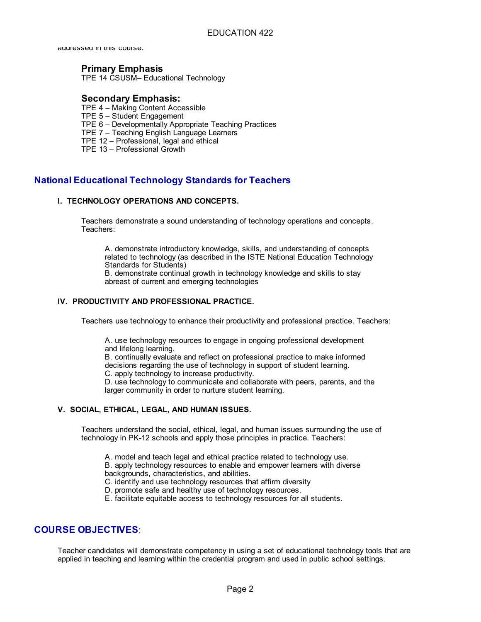addressed in this course.

### **Primary Emphasis**

TPE 14 CSUSM– Educational Technology

### **Secondary Emphasis:**

- TPE 4 Making Content Accessible
- TPE 5 Student Engagement
- TPE 6 Developmentally Appropriate Teaching Practices
- TPE 7 Teaching English Language Learners
- TPE 12 Professional, legal and ethical
- TPE 13 Professional Growth

## **National Educational Technology Standards for Teachers**

#### **I. TECHNOLOGY OPERATIONS AND CONCEPTS.**

Teachers demonstrate a sound understanding of technology operations and concepts. Teachers:

A. demonstrate introductory knowledge, skills, and understanding of concepts related to technology (as described in the ISTE National Education Technology Standards for Students)

B. demonstrate continual growth in technology knowledge and skills to stay abreast of current and emerging technologies

#### **IV. PRODUCTIVITY AND PROFESSIONAL PRACTICE.**

Teachers use technology to enhance their productivity and professional practice. Teachers:

A. use technology resources to engage in ongoing professional development and lifelong learning.

B. continually evaluate and reflect on professional practice to make informed decisions regarding the use of technology in support of student learning. C. apply technology to increase productivity.

D. use technology to communicate and collaborate with peers, parents, and the larger community in order to nurture student learning.

#### **V. SOCIAL, ETHICAL, LEGAL, AND HUMAN ISSUES.**

Teachers understand the social, ethical, legal, and human issues surrounding the use of technology in PK-12 schools and apply those principles in practice. Teachers:

A. model and teach legal and ethical practice related to technology use.

B. apply technology resources to enable and empower learners with diverse backgrounds, characteristics, and abilities.

C. identify and use technology resources that affirm diversity

- D. promote safe and healthy use of technology resources.
- E. facilitate equitable access to technology resources for all students.

### **COURSE OBJECTIVES**:

Teacher candidates will demonstrate competency in using a set of educational technology tools that are applied in teaching and learning within the credential program and used in public school settings.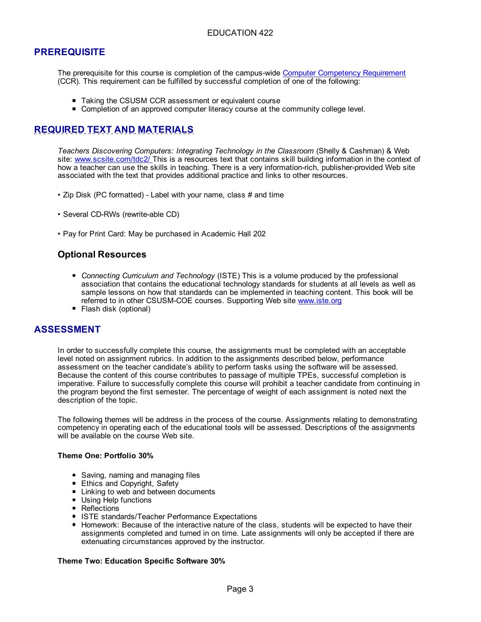## **PREREQUISITE**

The prerequisite for this course is completion of the campus-wide Computer Competency Requirement (CCR). This requirement can be fulfilled by successful completion of one of the following:

- Taking the CSUSM CCR assessment or equivalent course
- **Completion of an approved computer literacy course at the community college level.**

## **REQUIRED TEXT AND MATERIALS**

*Teachers Discovering Computers: Integrating Technology in the Classroom* (Shelly & Cashman) & Web site: www.scsite.com/tdc2/ This is a resources text that contains skill building information in the context of how a teacher can use the skills in teaching. There is a very information-rich, publisher-provided Web site associated with the text that provides additional practice and links to other resources.

- Zip Disk (PC formatted) Label with your name, class # and time
- Several CD-RWs (rewrite-able CD)
- Pay for Print Card: May be purchased in Academic Hall 202

## **Optional Resources**

- *Connecting Curriculum and Technology* (ISTE) This is a volume produced by the professional association that contains the educational technology standards for students at all levels as well as sample lessons on how that standards can be implemented in teaching content. This book will be referred to in other CSUSM-COE courses. Supporting Web site www.iste.org
- Flash disk (optional)

### **ASSESSMENT**

In order to successfully complete this course, the assignments must be completed with an acceptable level noted on assignment rubrics. In addition to the assignments described below, performance assessment on the teacher candidate's ability to perform tasks using the software will be assessed. Because the content of this course contributes to passage of multiple TPEs, successful completion is imperative. Failure to successfully complete this course will prohibit a teacher candidate from continuing in the program beyond the first semester. The percentage of weight of each assignment is noted next the description of the topic.

The following themes will be address in the process of the course. Assignments relating to demonstrating competency in operating each of the educational tools will be assessed. Descriptions of the assignments will be available on the course Web site.

#### **Theme One: Portfolio 30%**

- Saving, naming and managing files
- **Ethics and Copyright, Safety**
- **Linking to web and between documents**
- Using Help functions
- Reflections
- ISTE standards/Teacher Performance Expectations
- Homework: Because of the interactive nature of the class, students will be expected to have their assignments completed and turned in on time. Late assignments will only be accepted if there are extenuating circumstances approved by the instructor.

#### **Theme Two: Education Specific Software 30%**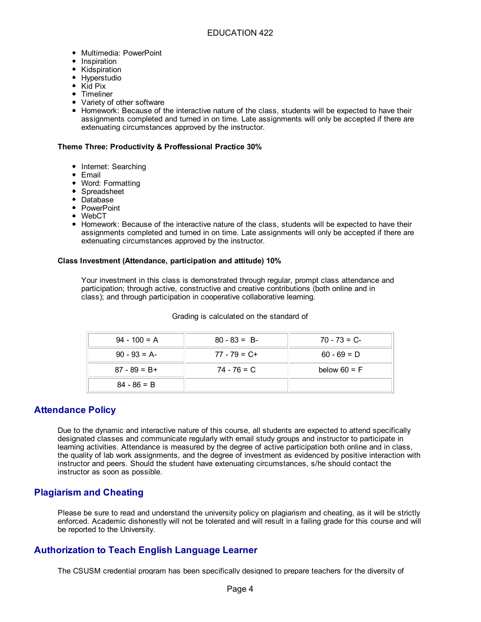- **Multimedia: PowerPoint**
- **Inspiration**
- Kidspiration
- **Hyperstudio**
- Kid Pix
- **•** Timeliner
- Variety of other software
- Homework: Because of the interactive nature of the class, students will be expected to have their assignments completed and turned in on time. Late assignments will only be accepted if there are extenuating circumstances approved by the instructor.

#### **Theme Three: Productivity & Proffessional Practice 30%**

- **Internet: Searching**
- Email
- **Word: Formatting**
- Spreadsheet
- Database
- PowerPoint
- WebCT
- Homework: Because of the interactive nature of the class, students will be expected to have their assignments completed and turned in on time. Late assignments will only be accepted if there are extenuating circumstances approved by the instructor.

#### **Class Investment (Attendance, participation and attitude) 10%**

Your investment in this class is demonstrated through regular, prompt class attendance and participation; through active, constructive and creative contributions (both online and in class); and through participation in cooperative collaborative learning.

|  | Grading is calculated on the standard of |  |  |  |
|--|------------------------------------------|--|--|--|
|--|------------------------------------------|--|--|--|

| $94 - 100 = A$  | $80 - 83 = B$   | $70 - 73 = C$  |
|-----------------|-----------------|----------------|
| $90 - 93 = A$   | $77 - 79 = C +$ | $60 - 69 = D$  |
| $87 - 89 = B +$ | 74 - 76 = C     | below $60 = F$ |
| $84 - 86 = B$   |                 |                |

### **Attendance Policy**

Due to the dynamic and interactive nature of this course, all students are expected to attend specifically designated classes and communicate regularly with email study groups and instructor to participate in learning activities. Attendance is measured by the degree of active participation both online and in class, the quality of lab work assignments, and the degree of investment as evidenced by positive interaction with instructor and peers. Should the student have extenuating circumstances, s/he should contact the instructor as soon as possible.

### **Plagiarism and Cheating**

Please be sure to read and understand the university policy on plagiarism and cheating, as it will be strictly enforced. Academic dishonestly will not be tolerated and will result in a failing grade for this course and will be reported to the University.

## **Authorization to Teach English Language Learner**

The CSUSM credential program has been specifically designed to prepare teachers for the diversity of